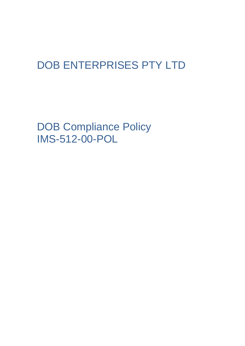## DOB ENTERPRISES PTY LTD

DOB Compliance Policy IMS-512-00-POL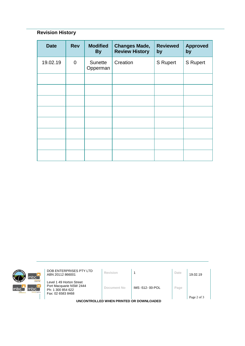## **Revision History**

| <b>Date</b> | <b>Rev</b>  | <b>Modified</b><br><b>By</b> | <b>Changes Made,</b><br><b>Review History</b> | <b>Reviewed</b><br>by | <b>Approved</b><br>by |
|-------------|-------------|------------------------------|-----------------------------------------------|-----------------------|-----------------------|
| 19.02.19    | $\mathbf 0$ | Sunette<br>Opperman          | Creation                                      | S Rupert              | <b>S</b> Rupert       |
|             |             |                              |                                               |                       |                       |
|             |             |                              |                                               |                       |                       |
|             |             |                              |                                               |                       |                       |
|             |             |                              |                                               |                       |                       |
|             |             |                              |                                               |                       |                       |
|             |             |                              |                                               |                       |                       |
|             |             |                              |                                               |                       |                       |
|             |             |                              |                                               |                       |                       |



**DOB ENTERPRISES PTY LTD**<br>ABN 20112 866001 **Revision** 1 **Date** 19.02.19

Level 1 49 Horton Street Port Macquarie NSW 2444 Ph: 1 300 854 622 Fax: 02 6583 8468

**Document No** IMS -512- 00-POL **Page**

**UNCONTROLLED WHEN PRINTED OR DOWNLOADED**

Page 2 of 3